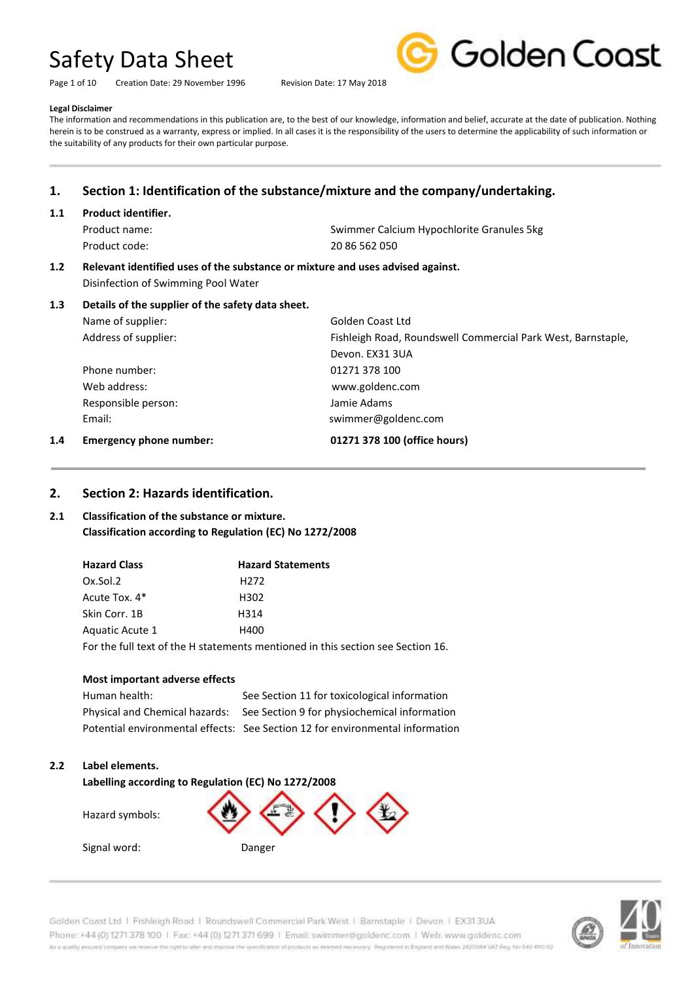Page 1 of 10 Creation Date: 29 November 1996 Revision Date: 17 May 2018



#### **Legal Disclaimer**

The information and recommendations in this publication are, to the best of our knowledge, information and belief, accurate at the date of publication. Nothing herein is to be construed as a warranty, express or implied. In all cases it is the responsibility of the users to determine the applicability of such information or the suitability of any products for their own particular purpose.

# **1. Section 1: Identification of the substance/mixture and the company/undertaking.**

#### **1.1 Product identifier.**

Product code: 20 86 562 050

Product name: Swimmer Calcium Hypochlorite Granules 5kg

# **1.2 Relevant identified uses of the substance or mixture and uses advised against.** Disinfection of Swimming Pool Water

# **1.3 Details of the supplier of the safety data sheet.**

| <b>Emergency phone number:</b> | 01271 378 100 (office hours)                                 |
|--------------------------------|--------------------------------------------------------------|
| Email:                         | swimmer@goldenc.com                                          |
| Responsible person:            | Jamie Adams                                                  |
| Web address:                   | www.goldenc.com                                              |
| Phone number:                  | 01271 378 100                                                |
|                                | Devon. EX31 3UA                                              |
| Address of supplier:           | Fishleigh Road, Roundswell Commercial Park West, Barnstaple, |
| Name of supplier:              | Golden Coast Ltd                                             |
|                                |                                                              |

### **2. Section 2: Hazards identification.**

# **2.1 Classification of the substance or mixture. Classification according to Regulation (EC) No 1272/2008**

| <b>Hazard Class</b> | <b>Hazard Statements</b>                                                        |
|---------------------|---------------------------------------------------------------------------------|
| Ox.Sol.2            | H <sub>272</sub>                                                                |
| Acute Tox. 4*       | H302                                                                            |
| Skin Corr. 1B       | H314                                                                            |
| Aquatic Acute 1     | H400                                                                            |
|                     | For the full text of the H statements mentioned in this section see Section 16. |

#### **Most important adverse effects**

| Human health:                  | See Section 11 for toxicological information                                  |
|--------------------------------|-------------------------------------------------------------------------------|
| Physical and Chemical hazards: | See Section 9 for physiochemical information                                  |
|                                | Potential environmental effects: See Section 12 for environmental information |

#### **2.2 Label elements.**

**Labelling according to Regulation (EC) No 1272/2008**

Hazard symbols:

Signal word: Danger



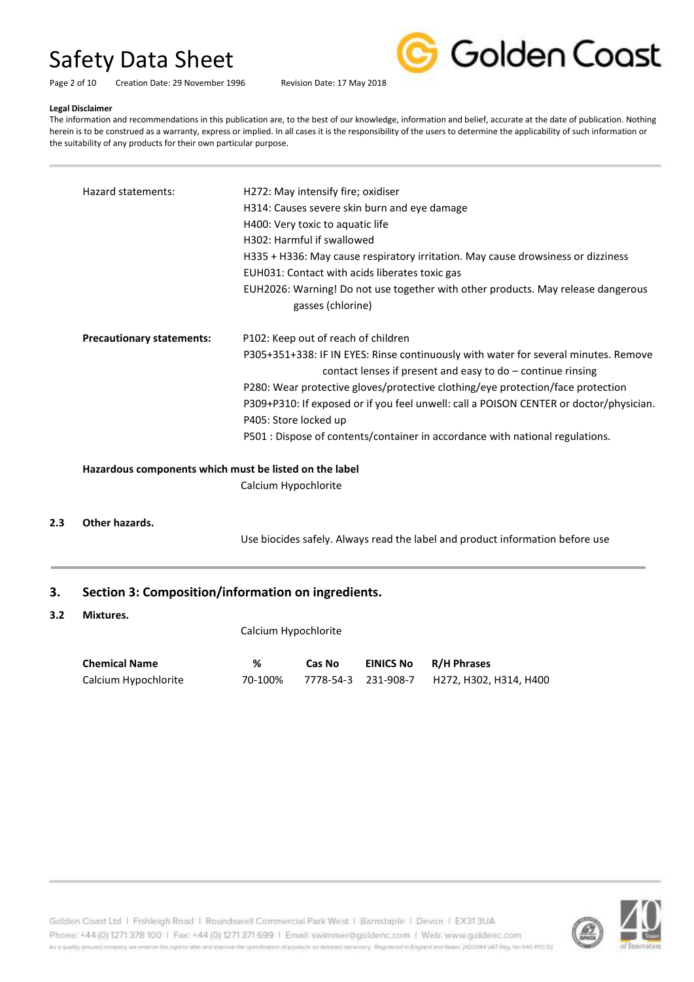Page 2 of 10 Creation Date: 29 November 1996 Revision Date: 17 May 2018



#### **Legal Disclaimer**

The information and recommendations in this publication are, to the best of our knowledge, information and belief, accurate at the date of publication. Nothing herein is to be construed as a warranty, express or implied. In all cases it is the responsibility of the users to determine the applicability of such information or the suitability of any products for their own particular purpose.

| Hazard statements:               | H272: May intensify fire; oxidiser<br>H314: Causes severe skin burn and eye damage<br>H400: Very toxic to aquatic life<br>H302: Harmful if swallowed<br>H335 + H336: May cause respiratory irritation. May cause drowsiness or dizziness<br>EUH031: Contact with acids liberates toxic gas                                                                                                                                                                                         |
|----------------------------------|------------------------------------------------------------------------------------------------------------------------------------------------------------------------------------------------------------------------------------------------------------------------------------------------------------------------------------------------------------------------------------------------------------------------------------------------------------------------------------|
|                                  | EUH2026: Warning! Do not use together with other products. May release dangerous<br>gasses (chlorine)                                                                                                                                                                                                                                                                                                                                                                              |
| <b>Precautionary statements:</b> | P102: Keep out of reach of children<br>P305+351+338: IF IN EYES: Rinse continuously with water for several minutes. Remove<br>contact lenses if present and easy to $do$ – continue rinsing<br>P280: Wear protective gloves/protective clothing/eye protection/face protection<br>P309+P310: If exposed or if you feel unwell: call a POISON CENTER or doctor/physician.<br>P405: Store locked up<br>P501 : Dispose of contents/container in accordance with national regulations. |

**Hazardous components which must be listed on the label** Calcium Hypochlorite

#### **2.3 Other hazards.**

Use biocides safely. Always read the label and product information before use

# **3. Section 3: Composition/information on ingredients.**

#### **3.2 Mixtures.**

Calcium Hypochlorite

| <b>Chemical Name</b> | %       | Cas No | <b>EINICS No</b> | R/H Phrases |
|----------------------|---------|--------|------------------|-------------|
| Calcium Hypochlorite | 70-100% |        |                  |             |

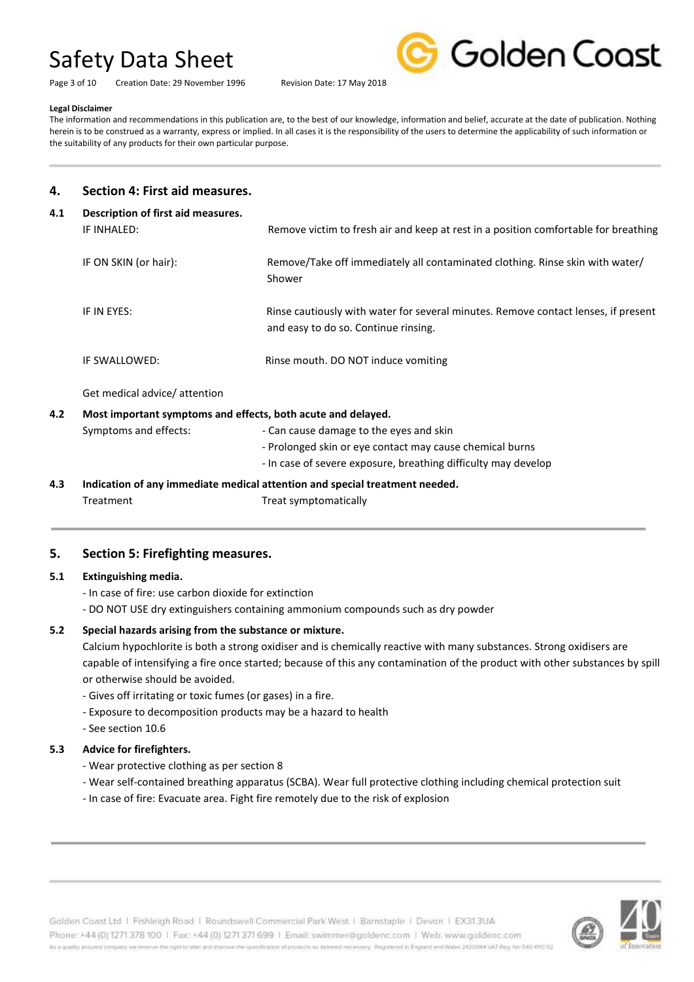Page 3 of 10 Creation Date: 29 November 1996 Revision Date: 17 May 2018



#### **Legal Disclaimer**

The information and recommendations in this publication are, to the best of our knowledge, information and belief, accurate at the date of publication. Nothing herein is to be construed as a warranty, express or implied. In all cases it is the responsibility of the users to determine the applicability of such information or the suitability of any products for their own particular purpose.

# **4. Section 4: First aid measures.**

| 4.1 | Description of first aid measures.                           |                                                                                                                            |
|-----|--------------------------------------------------------------|----------------------------------------------------------------------------------------------------------------------------|
|     | IF INHALED:                                                  | Remove victim to fresh air and keep at rest in a position comfortable for breathing                                        |
|     | IF ON SKIN (or hair):                                        | Remove/Take off immediately all contaminated clothing. Rinse skin with water/<br>Shower                                    |
|     | IF IN EYES:                                                  | Rinse cautiously with water for several minutes. Remove contact lenses, if present<br>and easy to do so. Continue rinsing. |
|     | IF SWALLOWED:                                                | Rinse mouth. DO NOT induce vomiting                                                                                        |
|     | Get medical advice/ attention                                |                                                                                                                            |
| 4.2 | Most important symptoms and effects, both acute and delayed. |                                                                                                                            |
|     | Symptoms and effects:                                        | - Can cause damage to the eyes and skin                                                                                    |
|     |                                                              | - Prolonged skin or eye contact may cause chemical burns                                                                   |
|     |                                                              | - In case of severe exposure, breathing difficulty may develop                                                             |
| 4.3 |                                                              | Indication of any immediate medical attention and special treatment needed.                                                |

Treatment Treat symptomatically

# **5. Section 5: Firefighting measures.**

# **5.1 Extinguishing media.**

- In case of fire: use carbon dioxide for extinction
- DO NOT USE dry extinguishers containing ammonium compounds such as dry powder

# **5.2 Special hazards arising from the substance or mixture.**

Calcium hypochlorite is both a strong oxidiser and is chemically reactive with many substances. Strong oxidisers are capable of intensifying a fire once started; because of this any contamination of the product with other substances by spill or otherwise should be avoided.

- Gives off irritating or toxic fumes (or gases) in a fire.
- Exposure to decomposition products may be a hazard to health
- See section 10.6

# **5.3 Advice for firefighters.**

- Wear protective clothing as per section 8
- Wear self-contained breathing apparatus (SCBA). Wear full protective clothing including chemical protection suit
- In case of fire: Evacuate area. Fight fire remotely due to the risk of explosion

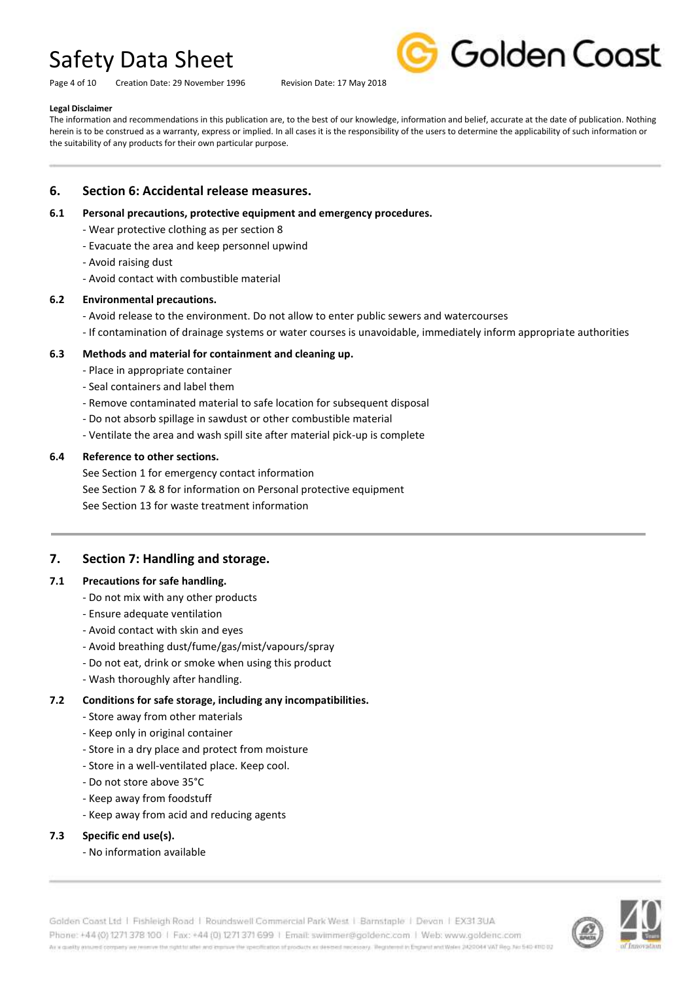Page 4 of 10 Creation Date: 29 November 1996 Revision Date: 17 May 2018



#### **Legal Disclaimer**

The information and recommendations in this publication are, to the best of our knowledge, information and belief, accurate at the date of publication. Nothing herein is to be construed as a warranty, express or implied. In all cases it is the responsibility of the users to determine the applicability of such information or the suitability of any products for their own particular purpose.

### **6. Section 6: Accidental release measures.**

#### **6.1 Personal precautions, protective equipment and emergency procedures.**

- Wear protective clothing as per section 8
- Evacuate the area and keep personnel upwind
- Avoid raising dust
- Avoid contact with combustible material

#### **6.2 Environmental precautions.**

- Avoid release to the environment. Do not allow to enter public sewers and watercourses
- If contamination of drainage systems or water courses is unavoidable, immediately inform appropriate authorities

### **6.3 Methods and material for containment and cleaning up.**

- Place in appropriate container
- Seal containers and label them
- Remove contaminated material to safe location for subsequent disposal
- Do not absorb spillage in sawdust or other combustible material
- Ventilate the area and wash spill site after material pick-up is complete

### **6.4 Reference to other sections.**

See Section 1 for emergency contact information See Section 7 & 8 for information on Personal protective equipment See Section 13 for waste treatment information

# **7. Section 7: Handling and storage.**

#### **7.1 Precautions for safe handling.**

- Do not mix with any other products
- Ensure adequate ventilation
- Avoid contact with skin and eyes
- Avoid breathing dust/fume/gas/mist/vapours/spray
- Do not eat, drink or smoke when using this product
- Wash thoroughly after handling.

# **7.2 Conditions for safe storage, including any incompatibilities.**

- Store away from other materials
- Keep only in original container
- Store in a dry place and protect from moisture
- Store in a well-ventilated place. Keep cool.
- Do not store above 35°C
- Keep away from foodstuff
- Keep away from acid and reducing agents

#### **7.3 Specific end use(s).**

- No information available

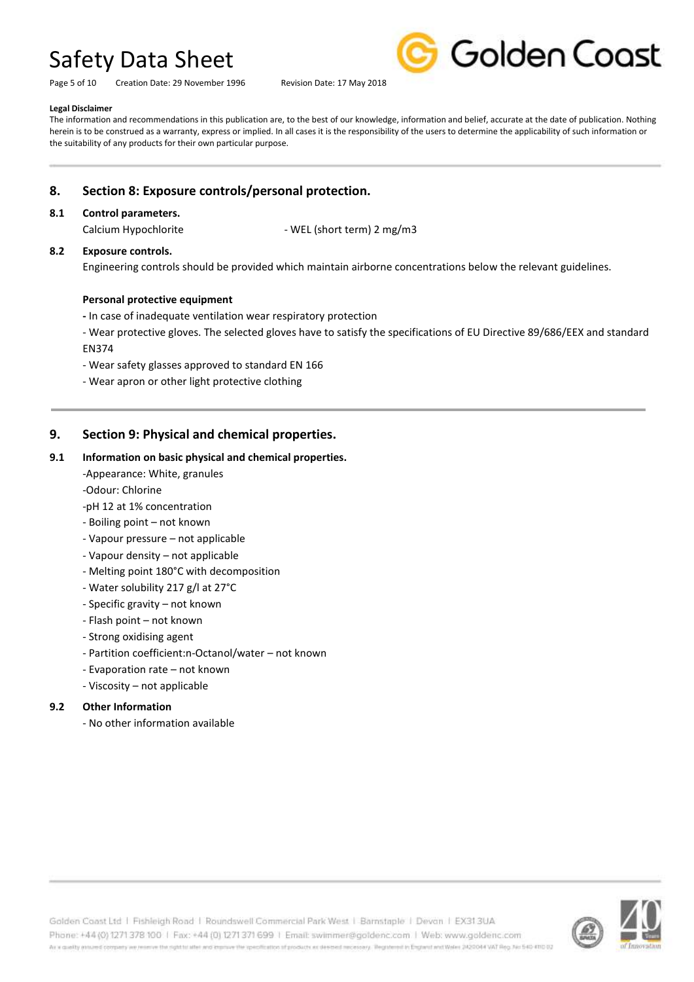Page 5 of 10 Creation Date: 29 November 1996 Revision Date: 17 May 2018



### **Legal Disclaimer**

The information and recommendations in this publication are, to the best of our knowledge, information and belief, accurate at the date of publication. Nothing herein is to be construed as a warranty, express or implied. In all cases it is the responsibility of the users to determine the applicability of such information or the suitability of any products for their own particular purpose.

# **8. Section 8: Exposure controls/personal protection.**

#### **8.1 Control parameters.**

Calcium Hypochlorite - WEL (short term) 2 mg/m3

### **8.2 Exposure controls.**

Engineering controls should be provided which maintain airborne concentrations below the relevant guidelines.

#### **Personal protective equipment**

- **-** In case of inadequate ventilation wear respiratory protection
- Wear protective gloves. The selected gloves have to satisfy the specifications of EU Directive 89/686/EEX and standard EN374
- Wear safety glasses approved to standard EN 166
- Wear apron or other light protective clothing

# **9. Section 9: Physical and chemical properties.**

### **9.1 Information on basic physical and chemical properties.**

-Appearance: White, granules

-Odour: Chlorine

- -pH 12 at 1% concentration
- Boiling point not known
- Vapour pressure not applicable
- Vapour density not applicable
- Melting point 180°C with decomposition
- Water solubility 217 g/l at 27°C
- Specific gravity not known
- Flash point not known
- Strong oxidising agent
- Partition coefficient:n-Octanol/water not known
- Evaporation rate not known
- Viscosity not applicable

#### **9.2 Other Information**

- No other information available

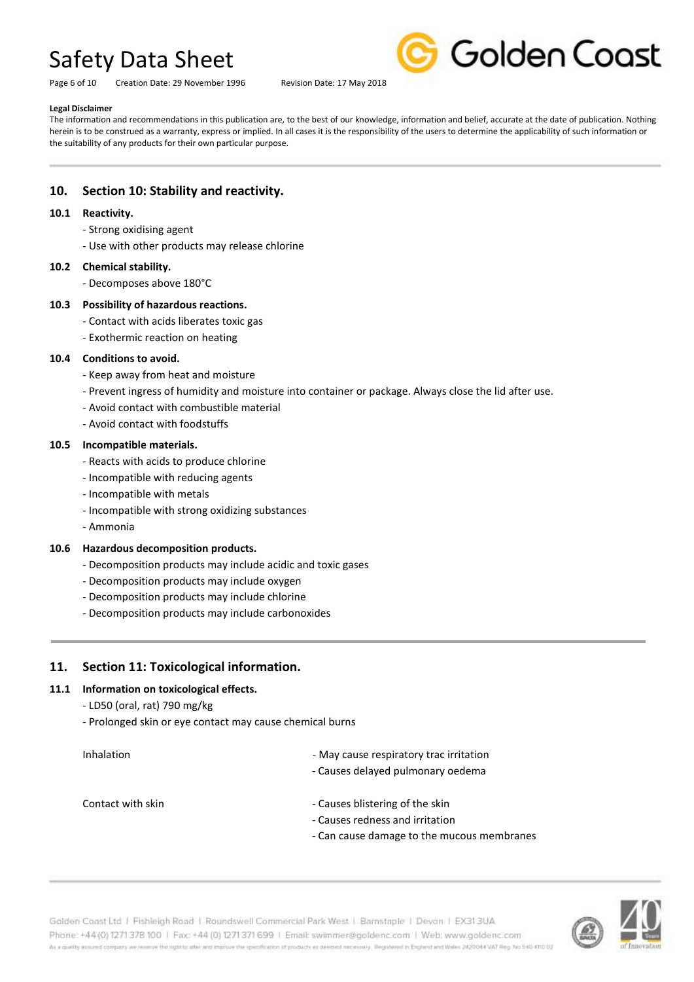Page 6 of 10 Creation Date: 29 November 1996 Revision Date: 17 May 2018



### **Legal Disclaimer**

The information and recommendations in this publication are, to the best of our knowledge, information and belief, accurate at the date of publication. Nothing herein is to be construed as a warranty, express or implied. In all cases it is the responsibility of the users to determine the applicability of such information or the suitability of any products for their own particular purpose.

# **10. Section 10: Stability and reactivity.**

#### **10.1 Reactivity.**

- Strong oxidising agent
- Use with other products may release chlorine

#### **10.2 Chemical stability.**

- Decomposes above 180°C

#### **10.3 Possibility of hazardous reactions.**

- Contact with acids liberates toxic gas
- Exothermic reaction on heating

#### **10.4 Conditions to avoid.**

- Keep away from heat and moisture
- Prevent ingress of humidity and moisture into container or package. Always close the lid after use.
- Avoid contact with combustible material
- Avoid contact with foodstuffs

#### **10.5 Incompatible materials.**

- Reacts with acids to produce chlorine
- Incompatible with reducing agents
- Incompatible with metals
- Incompatible with strong oxidizing substances
- Ammonia

#### **10.6 Hazardous decomposition products.**

- Decomposition products may include acidic and toxic gases
- Decomposition products may include oxygen
- Decomposition products may include chlorine
- Decomposition products may include carbonoxides

# **11. Section 11: Toxicological information.**

#### **11.1 Information on toxicological effects.**

- LD50 (oral, rat) 790 mg/kg
- Prolonged skin or eye contact may cause chemical burns

| Inhalation | - May cause respiratory trac irritation |
|------------|-----------------------------------------|
|------------|-----------------------------------------|

- Causes delayed pulmonary oedema

- 
- Contact with skin **Contact with skin** Causes blistering of the skin
	- Causes redness and irritation
	- Can cause damage to the mucous membranes

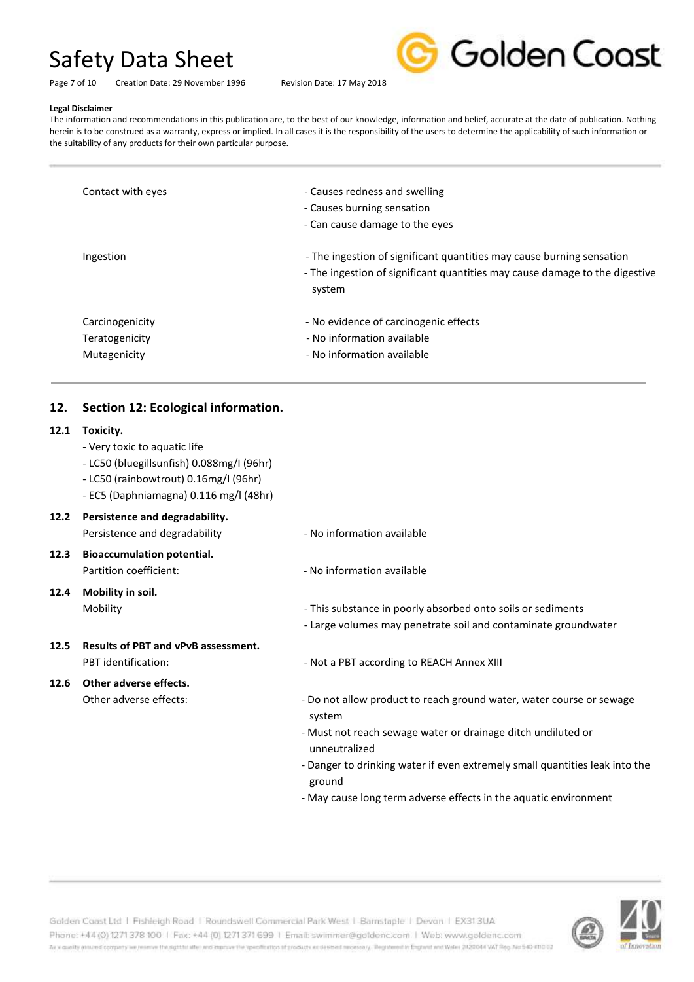

Page 7 of 10 Creation Date: 29 November 1996 Revision Date: 17 May 2018

#### **Legal Disclaimer**

The information and recommendations in this publication are, to the best of our knowledge, information and belief, accurate at the date of publication. Nothing herein is to be construed as a warranty, express or implied. In all cases it is the responsibility of the users to determine the applicability of such information or the suitability of any products for their own particular purpose.

| Contact with eyes | - Causes redness and swelling                                                                                                                                  |
|-------------------|----------------------------------------------------------------------------------------------------------------------------------------------------------------|
|                   | - Causes burning sensation                                                                                                                                     |
|                   | - Can cause damage to the eyes                                                                                                                                 |
| Ingestion         | - The ingestion of significant quantities may cause burning sensation<br>- The ingestion of significant quantities may cause damage to the digestive<br>system |
| Carcinogenicity   | - No evidence of carcinogenic effects                                                                                                                          |
| Teratogenicity    | - No information available                                                                                                                                     |
| Mutagenicity      | - No information available                                                                                                                                     |

# **12. Section 12: Ecological information.**

### **12.1 Toxicity.**

- Very toxic to aquatic life
- LC50 (bluegillsunfish) 0.088mg/I (96hr)
- LC50 (rainbowtrout) 0.16mg/l (96hr)
- EC5 (Daphniamagna) 0.116 mg/l (48hr)

# **12.2 Persistence and degradability.**

- **12.3 Bioaccumulation potential.** Partition coefficient:  $\blacksquare$
- **12.4 Mobility in soil.**
- **12.5 Results of PBT and vPvB assessment.**

# **12.6 Other adverse effects.**

- Persistence and degradability No information available
	-
- Mobility **Mobility This substance in poorly absorbed onto soils or sediments** 
	- Large volumes may penetrate soil and contaminate groundwater
- PBT identification:  $\overline{\phantom{a}}$  Not a PBT according to REACH Annex XIII
- Other adverse effects:  $\sim$  Do not allow product to reach ground water, water course or sewage system
	- Must not reach sewage water or drainage ditch undiluted or unneutralized
	- Danger to drinking water if even extremely small quantities leak into the ground
	- May cause long term adverse effects in the aquatic environment

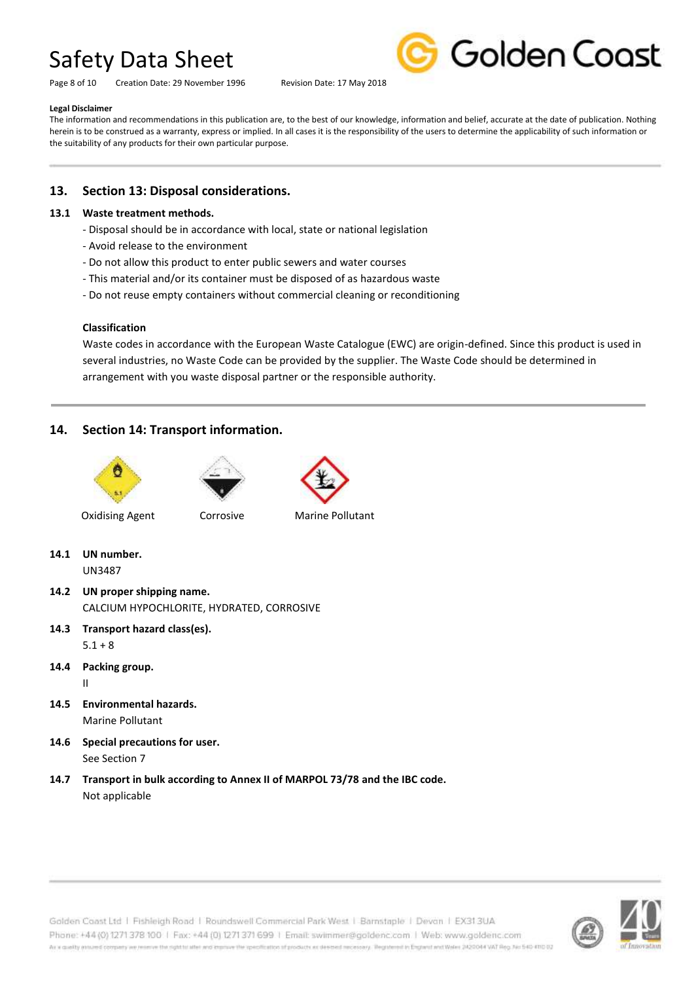Page 8 of 10 Creation Date: 29 November 1996 Revision Date: 17 May 2018



#### **Legal Disclaimer**

The information and recommendations in this publication are, to the best of our knowledge, information and belief, accurate at the date of publication. Nothing herein is to be construed as a warranty, express or implied. In all cases it is the responsibility of the users to determine the applicability of such information or the suitability of any products for their own particular purpose.

# **13. Section 13: Disposal considerations.**

#### **13.1 Waste treatment methods.**

- Disposal should be in accordance with local, state or national legislation
- Avoid release to the environment
- Do not allow this product to enter public sewers and water courses
- This material and/or its container must be disposed of as hazardous waste
- Do not reuse empty containers without commercial cleaning or reconditioning

#### **Classification**

Waste codes in accordance with the European Waste Catalogue (EWC) are origin-defined. Since this product is used in several industries, no Waste Code can be provided by the supplier. The Waste Code should be determined in arrangement with you waste disposal partner or the responsible authority.

# **14. Section 14: Transport information.**







**Oxidising Agent** Corrosive Marine Pollutant

**14.1 UN number.** UN3487

- **14.2 UN proper shipping name.** CALCIUM HYPOCHLORITE, HYDRATED, CORROSIVE
- **14.3 Transport hazard class(es).**  $5.1 + 8$
- **14.4 Packing group.** II
- **14.5 Environmental hazards.** Marine Pollutant
- **14.6 Special precautions for user.** See Section 7
- **14.7 Transport in bulk according to Annex II of MARPOL 73/78 and the IBC code.** Not applicable

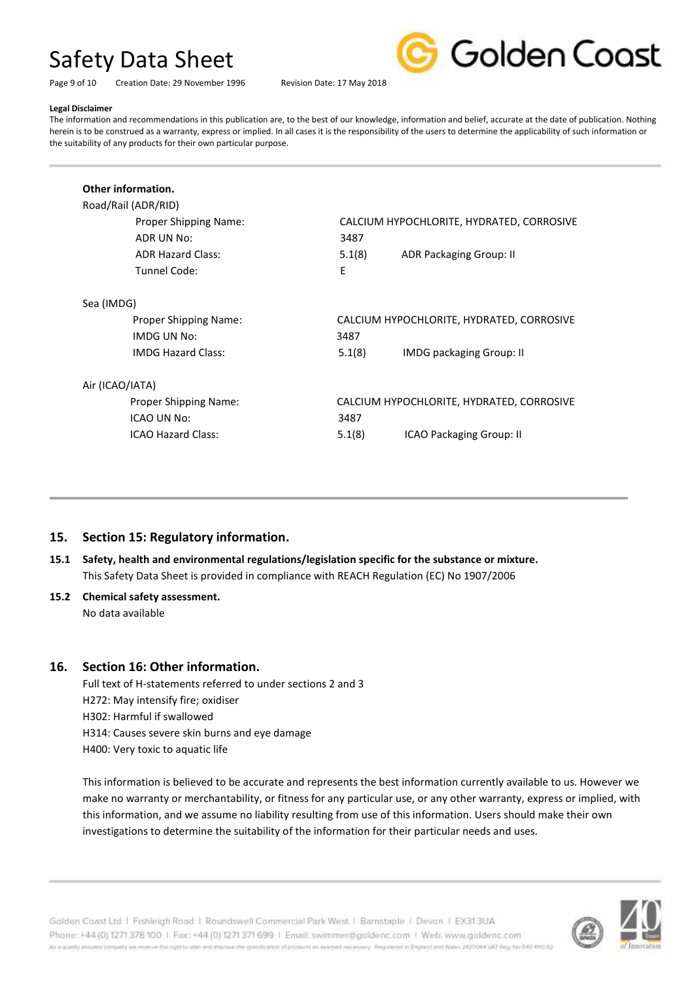

Page 9 of 10 Creation Date: 29 November 1996 Revision Date: 17 May 2018

# **Legal Disclaimer**

The information and recommendations in this publication are, to the best of our knowledge, information and belief, accurate at the date of publication. Nothing herein is to be construed as a warranty, express or implied. In all cases it is the responsibility of the users to determine the applicability of such information or the suitability of any products for their own particular purpose.

| Road/Rail (ADR/RID)          |        |                                           |
|------------------------------|--------|-------------------------------------------|
| <b>Proper Shipping Name:</b> |        | CALCIUM HYPOCHLORITE, HYDRATED, CORROSIVE |
| ADR UN No:                   | 3487   |                                           |
| <b>ADR Hazard Class:</b>     | 5.1(8) | ADR Packaging Group: II                   |
| Tunnel Code:                 | E      |                                           |
| Sea (IMDG)                   |        |                                           |
| <b>Proper Shipping Name:</b> |        | CALCIUM HYPOCHLORITE, HYDRATED, CORROSIVE |
| <b>IMDG UN No:</b>           | 3487   |                                           |
| <b>IMDG Hazard Class:</b>    | 5.1(8) | <b>IMDG packaging Group: II</b>           |
| Air (ICAO/IATA)              |        |                                           |
| Proper Shipping Name:        |        | CALCIUM HYPOCHLORITE, HYDRATED, CORROSIVE |
| ICAO UN No:                  | 3487   |                                           |
| ICAO Hazard Class:           | 5.1(8) | ICAO Packaging Group: II                  |

# **15. Section 15: Regulatory information.**

- **15.1 Safety, health and environmental regulations/legislation specific for the substance or mixture.** This Safety Data Sheet is provided in compliance with REACH Regulation (EC) No 1907/2006
- **15.2 Chemical safety assessment.**

No data available

# **16. Section 16: Other information.**

Full text of H-statements referred to under sections 2 and 3 H272: May intensify fire; oxidiser H302: Harmful if swallowed H314: Causes severe skin burns and eye damage H400: Very toxic to aquatic life

This information is believed to be accurate and represents the best information currently available to us. However we make no warranty or merchantability, or fitness for any particular use, or any other warranty, express or implied, with this information, and we assume no liability resulting from use of this information. Users should make their own investigations to determine the suitability of the information for their particular needs and uses.